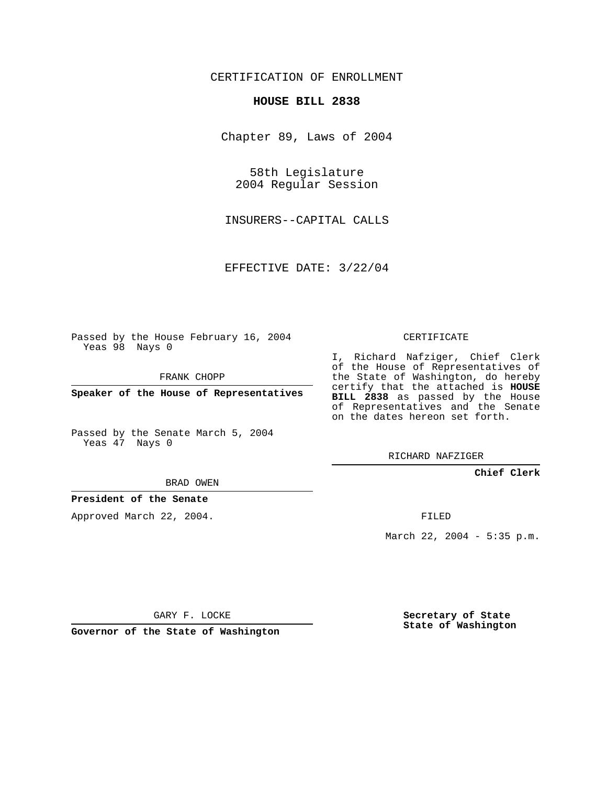## CERTIFICATION OF ENROLLMENT

#### **HOUSE BILL 2838**

Chapter 89, Laws of 2004

58th Legislature 2004 Regular Session

INSURERS--CAPITAL CALLS

EFFECTIVE DATE: 3/22/04

Passed by the House February 16, 2004 Yeas 98 Nays 0

FRANK CHOPP

**Speaker of the House of Representatives**

Passed by the Senate March 5, 2004 Yeas 47 Nays 0

# BRAD OWEN

#### **President of the Senate**

Approved March 22, 2004.

CERTIFICATE

I, Richard Nafziger, Chief Clerk of the House of Representatives of the State of Washington, do hereby certify that the attached is **HOUSE BILL 2838** as passed by the House of Representatives and the Senate on the dates hereon set forth.

RICHARD NAFZIGER

#### **Chief Clerk**

FILED

March 22, 2004 - 5:35 p.m.

GARY F. LOCKE

**Governor of the State of Washington**

**Secretary of State State of Washington**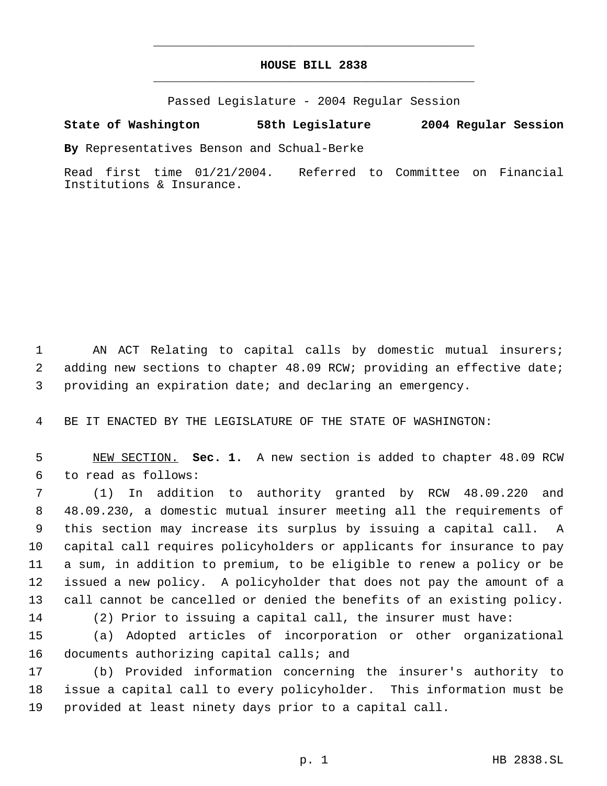# **HOUSE BILL 2838** \_\_\_\_\_\_\_\_\_\_\_\_\_\_\_\_\_\_\_\_\_\_\_\_\_\_\_\_\_\_\_\_\_\_\_\_\_\_\_\_\_\_\_\_\_

\_\_\_\_\_\_\_\_\_\_\_\_\_\_\_\_\_\_\_\_\_\_\_\_\_\_\_\_\_\_\_\_\_\_\_\_\_\_\_\_\_\_\_\_\_

Passed Legislature - 2004 Regular Session

## **State of Washington 58th Legislature 2004 Regular Session**

**By** Representatives Benson and Schual-Berke

Read first time 01/21/2004. Referred to Committee on Financial Institutions & Insurance.

1 AN ACT Relating to capital calls by domestic mutual insurers; adding new sections to chapter 48.09 RCW; providing an effective date; providing an expiration date; and declaring an emergency.

BE IT ENACTED BY THE LEGISLATURE OF THE STATE OF WASHINGTON:

 NEW SECTION. **Sec. 1.** A new section is added to chapter 48.09 RCW to read as follows:

 (1) In addition to authority granted by RCW 48.09.220 and 48.09.230, a domestic mutual insurer meeting all the requirements of this section may increase its surplus by issuing a capital call. A capital call requires policyholders or applicants for insurance to pay a sum, in addition to premium, to be eligible to renew a policy or be issued a new policy. A policyholder that does not pay the amount of a call cannot be cancelled or denied the benefits of an existing policy. (2) Prior to issuing a capital call, the insurer must have:

 (a) Adopted articles of incorporation or other organizational 16 documents authorizing capital calls; and

 (b) Provided information concerning the insurer's authority to issue a capital call to every policyholder. This information must be provided at least ninety days prior to a capital call.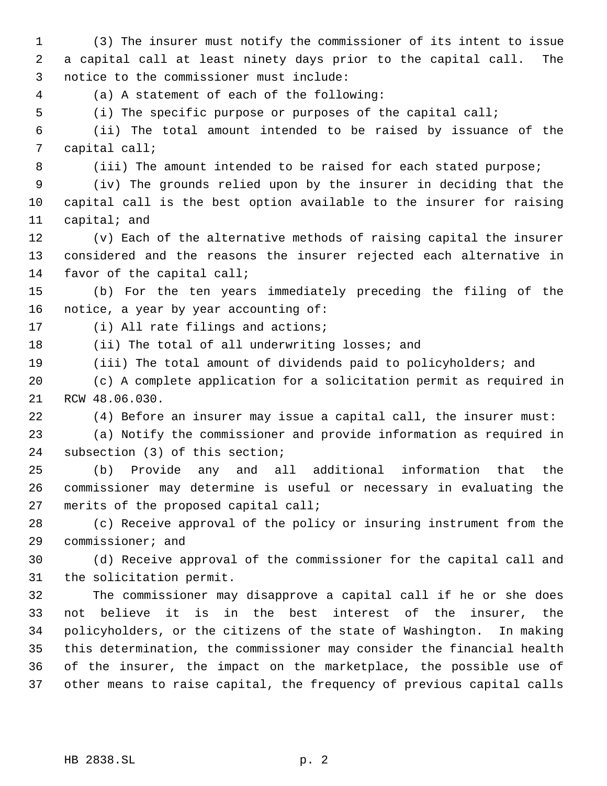(3) The insurer must notify the commissioner of its intent to issue a capital call at least ninety days prior to the capital call. The notice to the commissioner must include: (a) A statement of each of the following: (i) The specific purpose or purposes of the capital call; (ii) The total amount intended to be raised by issuance of the capital call; 8 (iii) The amount intended to be raised for each stated purpose; (iv) The grounds relied upon by the insurer in deciding that the capital call is the best option available to the insurer for raising capital; and (v) Each of the alternative methods of raising capital the insurer considered and the reasons the insurer rejected each alternative in favor of the capital call; (b) For the ten years immediately preceding the filing of the notice, a year by year accounting of: (i) All rate filings and actions; (ii) The total of all underwriting losses; and (iii) The total amount of dividends paid to policyholders; and (c) A complete application for a solicitation permit as required in RCW 48.06.030. (4) Before an insurer may issue a capital call, the insurer must: (a) Notify the commissioner and provide information as required in subsection (3) of this section; (b) Provide any and all additional information that the commissioner may determine is useful or necessary in evaluating the merits of the proposed capital call; (c) Receive approval of the policy or insuring instrument from the commissioner; and (d) Receive approval of the commissioner for the capital call and the solicitation permit. The commissioner may disapprove a capital call if he or she does not believe it is in the best interest of the insurer, the policyholders, or the citizens of the state of Washington. In making this determination, the commissioner may consider the financial health of the insurer, the impact on the marketplace, the possible use of other means to raise capital, the frequency of previous capital calls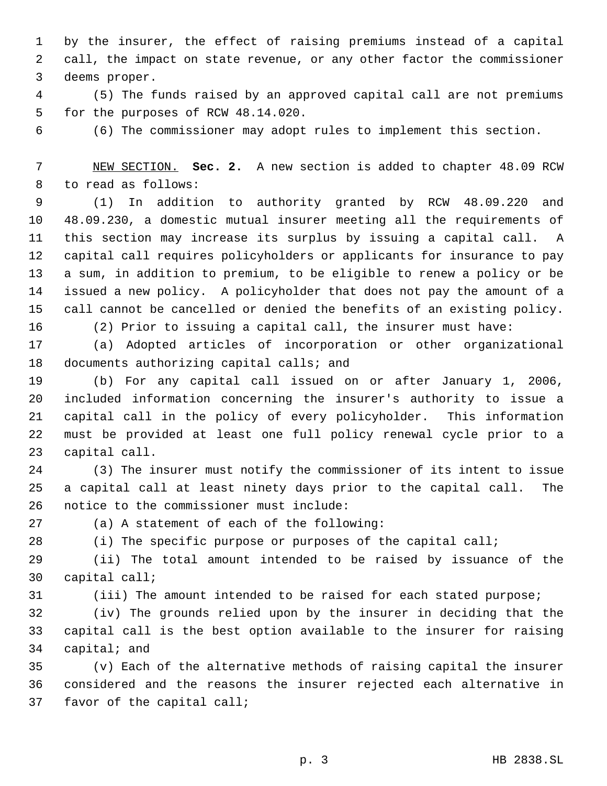by the insurer, the effect of raising premiums instead of a capital call, the impact on state revenue, or any other factor the commissioner deems proper.

 (5) The funds raised by an approved capital call are not premiums for the purposes of RCW 48.14.020.

(6) The commissioner may adopt rules to implement this section.

 NEW SECTION. **Sec. 2.** A new section is added to chapter 48.09 RCW to read as follows:

 (1) In addition to authority granted by RCW 48.09.220 and 48.09.230, a domestic mutual insurer meeting all the requirements of this section may increase its surplus by issuing a capital call. A capital call requires policyholders or applicants for insurance to pay a sum, in addition to premium, to be eligible to renew a policy or be issued a new policy. A policyholder that does not pay the amount of a call cannot be cancelled or denied the benefits of an existing policy.

(2) Prior to issuing a capital call, the insurer must have:

 (a) Adopted articles of incorporation or other organizational documents authorizing capital calls; and

 (b) For any capital call issued on or after January 1, 2006, included information concerning the insurer's authority to issue a capital call in the policy of every policyholder. This information must be provided at least one full policy renewal cycle prior to a capital call.

 (3) The insurer must notify the commissioner of its intent to issue a capital call at least ninety days prior to the capital call. The notice to the commissioner must include:

(a) A statement of each of the following:

(i) The specific purpose or purposes of the capital call;

 (ii) The total amount intended to be raised by issuance of the capital call;

(iii) The amount intended to be raised for each stated purpose;

 (iv) The grounds relied upon by the insurer in deciding that the capital call is the best option available to the insurer for raising capital; and

 (v) Each of the alternative methods of raising capital the insurer considered and the reasons the insurer rejected each alternative in favor of the capital call;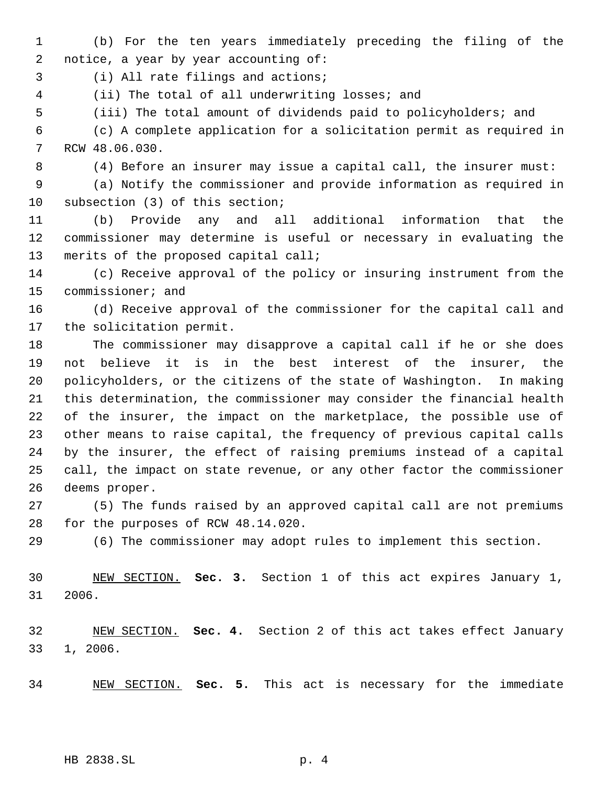(b) For the ten years immediately preceding the filing of the notice, a year by year accounting of:

(i) All rate filings and actions;

- (ii) The total of all underwriting losses; and
- (iii) The total amount of dividends paid to policyholders; and

 (c) A complete application for a solicitation permit as required in RCW 48.06.030.

(4) Before an insurer may issue a capital call, the insurer must:

 (a) Notify the commissioner and provide information as required in subsection (3) of this section;

 (b) Provide any and all additional information that the commissioner may determine is useful or necessary in evaluating the merits of the proposed capital call;

 (c) Receive approval of the policy or insuring instrument from the commissioner; and

 (d) Receive approval of the commissioner for the capital call and the solicitation permit.

 The commissioner may disapprove a capital call if he or she does not believe it is in the best interest of the insurer, the policyholders, or the citizens of the state of Washington. In making this determination, the commissioner may consider the financial health of the insurer, the impact on the marketplace, the possible use of other means to raise capital, the frequency of previous capital calls by the insurer, the effect of raising premiums instead of a capital call, the impact on state revenue, or any other factor the commissioner deems proper.

 (5) The funds raised by an approved capital call are not premiums for the purposes of RCW 48.14.020.

(6) The commissioner may adopt rules to implement this section.

 NEW SECTION. **Sec. 3.** Section 1 of this act expires January 1, 2006.

 NEW SECTION. **Sec. 4.** Section 2 of this act takes effect January 1, 2006.

NEW SECTION. **Sec. 5.** This act is necessary for the immediate